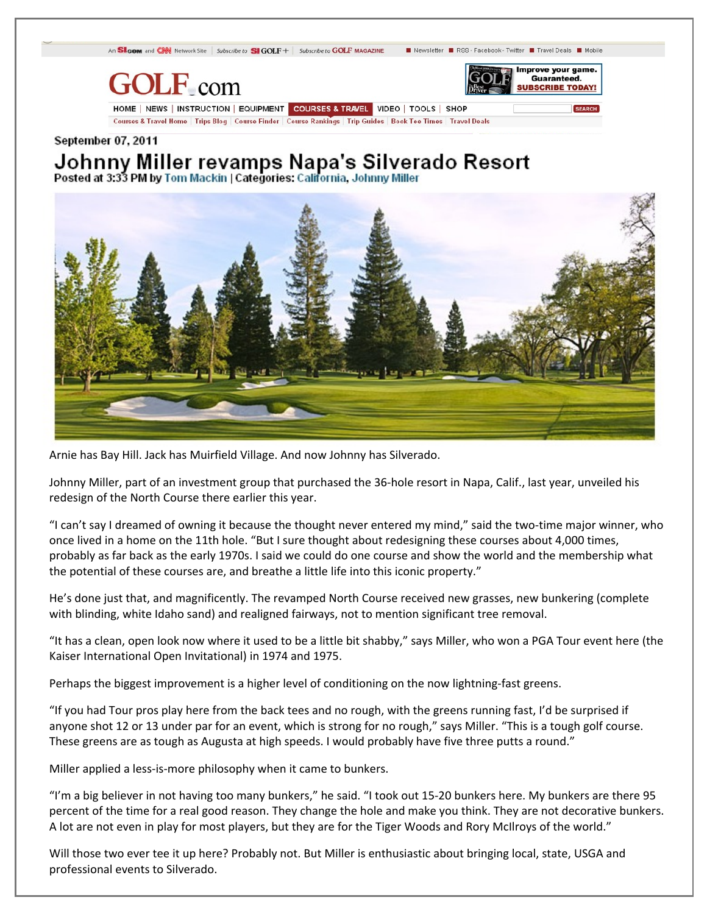

## September 07, 2011

Johnny Miller revamps Napa's Silverado Resort Posted at 3:33 PM by Tom Mackin | Categories: California, Johnny Miller



Arnie has Bay Hill. Jack has Muirfield Village. And now Johnny has Silverado.

Johnny Miller, part of an investment group that purchased the 36-hole resort in Napa, Calif., last year, unveiled his redesign of the North Course there earlier this year.

"I can't say I dreamed of owning it because the thought never entered my mind," said the two-time major winner, who once lived in a home on the 11th hole. "But I sure thought about redesigning these courses about 4,000 times, probably as far back as the early 1970s. I said we could do one course and show the world and the membership what the potential of these courses are, and breathe a little life into this iconic property."

He's done just that, and magnificently. The revamped North Course received new grasses, new bunkering (complete with blinding, white Idaho sand) and realigned fairways, not to mention significant tree removal.

"It has a clean, open look now where it used to be a little bit shabby," says Miller, who won a PGA Tour event here (the Kaiser International Open Invitational) in 1974 and 1975.

Perhaps the biggest improvement is a higher level of conditioning on the now lightning-fast greens.

"If you had Tour pros play here from the back tees and no rough, with the greens running fast, I'd be surprised if anyone shot 12 or 13 under par for an event, which is strong for no rough," says Miller. "This is a tough golf course. These greens are as tough as Augusta at high speeds. I would probably have five three putts a round."

Miller applied a less-is-more philosophy when it came to bunkers.

"I'm a big believer in not having too many bunkers," he said. "I took out 15-20 bunkers here. My bunkers are there 95 percent of the time for a real good reason. They change the hole and make you think. They are not decorative bunkers. A lot are not even in play for most players, but they are for the Tiger Woods and Rory McIlroys of the world."

Will those two ever tee it up here? Probably not. But Miller is enthusiastic about bringing local, state, USGA and professional events to Silverado.